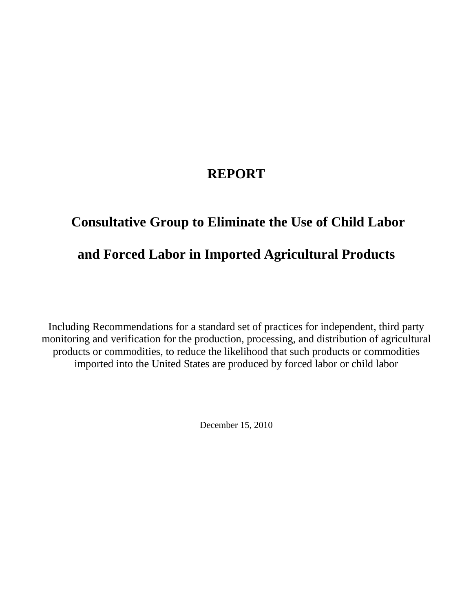# **REPORT**

# **Consultative Group to Eliminate the Use of Child Labor and Forced Labor in Imported Agricultural Products**

Including Recommendations for a standard set of practices for independent, third party monitoring and verification for the production, processing, and distribution of agricultural products or commodities, to reduce the likelihood that such products or commodities imported into the United States are produced by forced labor or child labor

December 15, 2010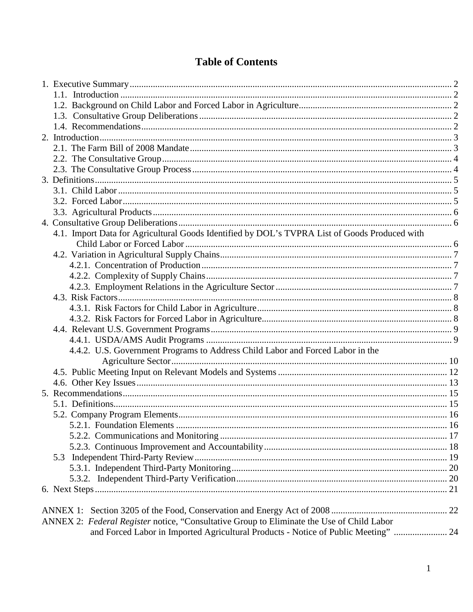## **Table of Contents**

|  | 4.1. Import Data for Agricultural Goods Identified by DOL's TVPRA List of Goods Produced with |  |
|--|-----------------------------------------------------------------------------------------------|--|
|  |                                                                                               |  |
|  |                                                                                               |  |
|  |                                                                                               |  |
|  |                                                                                               |  |
|  |                                                                                               |  |
|  |                                                                                               |  |
|  |                                                                                               |  |
|  |                                                                                               |  |
|  |                                                                                               |  |
|  |                                                                                               |  |
|  | 4.4.2. U.S. Government Programs to Address Child Labor and Forced Labor in the                |  |
|  |                                                                                               |  |
|  |                                                                                               |  |
|  |                                                                                               |  |
|  |                                                                                               |  |
|  |                                                                                               |  |
|  |                                                                                               |  |
|  |                                                                                               |  |
|  |                                                                                               |  |
|  |                                                                                               |  |
|  |                                                                                               |  |
|  |                                                                                               |  |
|  |                                                                                               |  |
|  |                                                                                               |  |
|  |                                                                                               |  |
|  | ANNEX 2: Federal Register notice, "Consultative Group to Eliminate the Use of Child Labor     |  |
|  | and Forced Labor in Imported Agricultural Products - Notice of Public Meeting"  24            |  |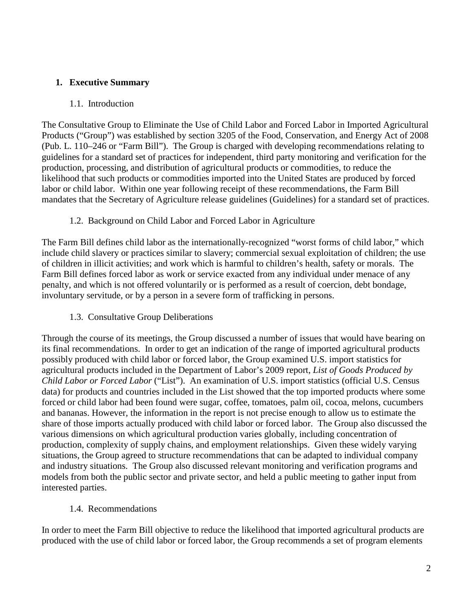#### **1. Executive Summary**

#### 1.1. Introduction

The Consultative Group to Eliminate the Use of Child Labor and Forced Labor in Imported Agricultural Products ("Group") was established by section 3205 of the Food, Conservation, and Energy Act of 2008 (Pub. L. 110–246 or "Farm Bill"). The Group is charged with developing recommendations relating to guidelines for a standard set of practices for independent, third party monitoring and verification for the production, processing, and distribution of agricultural products or commodities, to reduce the likelihood that such products or commodities imported into the United States are produced by forced labor or child labor. Within one year following receipt of these recommendations, the Farm Bill mandates that the Secretary of Agriculture release guidelines (Guidelines) for a standard set of practices.

#### 1.2. Background on Child Labor and Forced Labor in Agriculture

The Farm Bill defines child labor as the internationally-recognized "worst forms of child labor," which include child slavery or practices similar to slavery; commercial sexual exploitation of children; the use of children in illicit activities; and work which is harmful to children's health, safety or morals. The Farm Bill defines forced labor as work or service exacted from any individual under menace of any penalty, and which is not offered voluntarily or is performed as a result of coercion, debt bondage, involuntary servitude, or by a person in a severe form of trafficking in persons.

1.3. Consultative Group Deliberations

Through the course of its meetings, the Group discussed a number of issues that would have bearing on its final recommendations. In order to get an indication of the range of imported agricultural products possibly produced with child labor or forced labor, the Group examined U.S. import statistics for agricultural products included in the Department of Labor's 2009 report, *List of Goods Produced by Child Labor or Forced Labor* ("List"). An examination of U.S. import statistics (official U.S. Census data) for products and countries included in the List showed that the top imported products where some forced or child labor had been found were sugar, coffee, tomatoes, palm oil, cocoa, melons, cucumbers and bananas. However, the information in the report is not precise enough to allow us to estimate the share of those imports actually produced with child labor or forced labor. The Group also discussed the various dimensions on which agricultural production varies globally, including concentration of production, complexity of supply chains, and employment relationships. Given these widely varying situations, the Group agreed to structure recommendations that can be adapted to individual company and industry situations. The Group also discussed relevant monitoring and verification programs and models from both the public sector and private sector, and held a public meeting to gather input from interested parties.

#### 1.4. Recommendations

In order to meet the Farm Bill objective to reduce the likelihood that imported agricultural products are produced with the use of child labor or forced labor, the Group recommends a set of program elements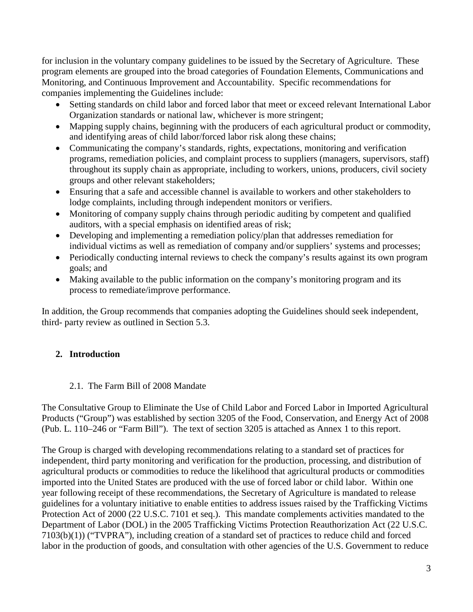for inclusion in the voluntary company guidelines to be issued by the Secretary of Agriculture. These program elements are grouped into the broad categories of Foundation Elements, Communications and Monitoring, and Continuous Improvement and Accountability. Specific recommendations for companies implementing the Guidelines include:

- Setting standards on child labor and forced labor that meet or exceed relevant International Labor Organization standards or national law, whichever is more stringent;
- Mapping supply chains, beginning with the producers of each agricultural product or commodity, and identifying areas of child labor/forced labor risk along these chains;
- Communicating the company's standards, rights, expectations, monitoring and verification programs, remediation policies, and complaint process to suppliers (managers, supervisors, staff) throughout its supply chain as appropriate, including to workers, unions, producers, civil society groups and other relevant stakeholders;
- Ensuring that a safe and accessible channel is available to workers and other stakeholders to lodge complaints, including through independent monitors or verifiers.
- Monitoring of company supply chains through periodic auditing by competent and qualified auditors, with a special emphasis on identified areas of risk;
- Developing and implementing a remediation policy/plan that addresses remediation for individual victims as well as remediation of company and/or suppliers' systems and processes;
- Periodically conducting internal reviews to check the company's results against its own program goals; and
- Making available to the public information on the company's monitoring program and its process to remediate/improve performance.

In addition, the Group recommends that companies adopting the Guidelines should seek independent, third- party review as outlined in Section 5.3.

#### **2. Introduction**

#### 2.1. The Farm Bill of 2008 Mandate

The Consultative Group to Eliminate the Use of Child Labor and Forced Labor in Imported Agricultural Products ("Group") was established by section 3205 of the Food, Conservation, and Energy Act of 2008 (Pub. L. 110–246 or "Farm Bill"). The text of section 3205 is attached as Annex 1 to this report.

The Group is charged with developing recommendations relating to a standard set of practices for independent, third party monitoring and verification for the production, processing, and distribution of agricultural products or commodities to reduce the likelihood that agricultural products or commodities imported into the United States are produced with the use of forced labor or child labor. Within one year following receipt of these recommendations, the Secretary of Agriculture is mandated to release guidelines for a voluntary initiative to enable entities to address issues raised by the Trafficking Victims Protection Act of 2000 (22 U.S.C. 7101 et seq.). This mandate complements activities mandated to the Department of Labor (DOL) in the 2005 Trafficking Victims Protection Reauthorization Act (22 U.S.C. 7103(b)(1)) ("TVPRA"), including creation of a standard set of practices to reduce child and forced labor in the production of goods, and consultation with other agencies of the U.S. Government to reduce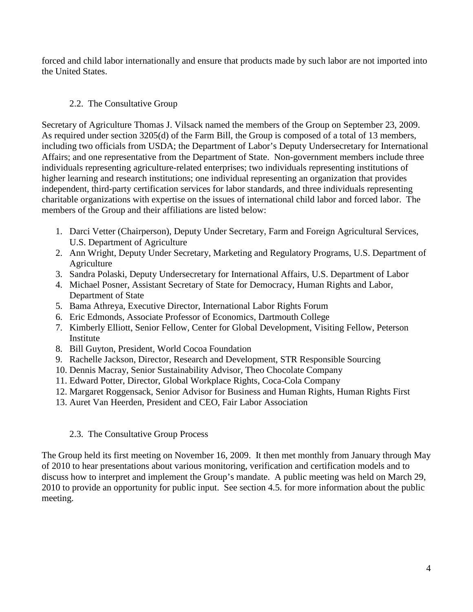forced and child labor internationally and ensure that products made by such labor are not imported into the United States.

#### 2.2. The Consultative Group

Secretary of Agriculture Thomas J. Vilsack named the members of the Group on September 23, 2009. As required under section 3205(d) of the Farm Bill, the Group is composed of a total of 13 members, including two officials from USDA; the Department of Labor's Deputy Undersecretary for International Affairs; and one representative from the Department of State. Non-government members include three individuals representing agriculture-related enterprises; two individuals representing institutions of higher learning and research institutions; one individual representing an organization that provides independent, third-party certification services for labor standards, and three individuals representing charitable organizations with expertise on the issues of international child labor and forced labor. The members of the Group and their affiliations are listed below:

- 1. Darci Vetter (Chairperson), Deputy Under Secretary, Farm and Foreign Agricultural Services, U.S. Department of Agriculture
- 2. Ann Wright, Deputy Under Secretary, Marketing and Regulatory Programs, U.S. Department of Agriculture
- 3. Sandra Polaski, Deputy Undersecretary for International Affairs, U.S. Department of Labor
- 4. Michael Posner, Assistant Secretary of State for Democracy, Human Rights and Labor, Department of State
- 5. Bama Athreya, Executive Director, International Labor Rights Forum
- 6. Eric Edmonds, Associate Professor of Economics, Dartmouth College
- 7. Kimberly Elliott, Senior Fellow, Center for Global Development, Visiting Fellow, Peterson Institute
- 8. Bill Guyton, President, World Cocoa Foundation
- 9. Rachelle Jackson, Director, Research and Development, STR Responsible Sourcing
- 10. Dennis Macray, Senior Sustainability Advisor, Theo Chocolate Company
- 11. Edward Potter, Director, Global Workplace Rights, Coca-Cola Company
- 12. Margaret Roggensack, Senior Advisor for Business and Human Rights, Human Rights First
- 13. Auret Van Heerden, President and CEO, Fair Labor Association

#### 2.3. The Consultative Group Process

The Group held its first meeting on November 16, 2009. It then met monthly from January through May of 2010 to hear presentations about various monitoring, verification and certification models and to discuss how to interpret and implement the Group's mandate. A public meeting was held on March 29, 2010 to provide an opportunity for public input. See section 4.5. for more information about the public meeting.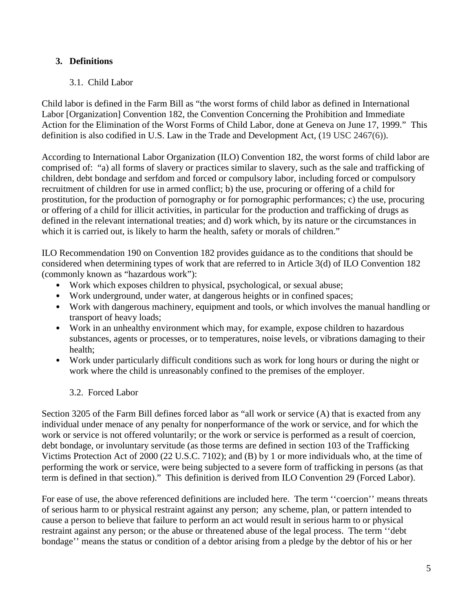#### **3. Definitions**

#### 3.1. Child Labor

Child labor is defined in the Farm Bill as "the worst forms of child labor as defined in International Labor [Organization] Convention 182, the Convention Concerning the Prohibition and Immediate Action for the Elimination of the Worst Forms of Child Labor, done at Geneva on June 17, 1999." This definition is also codified in U.S. Law in the Trade and Development Act, (19 USC 2467(6)).

According to International Labor Organization (ILO) Convention 182, the worst forms of child labor are comprised of: "a) all forms of slavery or practices similar to slavery, such as the sale and trafficking of children, debt bondage and serfdom and forced or compulsory labor, including forced or compulsory recruitment of children for use in armed conflict; b) the use, procuring or offering of a child for prostitution, for the production of pornography or for pornographic performances; c) the use, procuring or offering of a child for illicit activities, in particular for the production and trafficking of drugs as defined in the relevant international treaties; and d) work which, by its nature or the circumstances in which it is carried out, is likely to harm the health, safety or morals of children."

ILO Recommendation 190 on Convention 182 provides guidance as to the conditions that should be considered when determining types of work that are referred to in Article 3(d) of ILO Convention 182 (commonly known as "hazardous work"):

- Work which exposes children to physical, psychological, or sexual abuse;
- Work underground, under water, at dangerous heights or in confined spaces;
- Work with dangerous machinery, equipment and tools, or which involves the manual handling or transport of heavy loads;
- Work in an unhealthy environment which may, for example, expose children to hazardous substances, agents or processes, or to temperatures, noise levels, or vibrations damaging to their health;
- Work under particularly difficult conditions such as work for long hours or during the night or work where the child is unreasonably confined to the premises of the employer.

#### 3.2. Forced Labor

Section 3205 of the Farm Bill defines forced labor as "all work or service (A) that is exacted from any individual under menace of any penalty for nonperformance of the work or service, and for which the work or service is not offered voluntarily; or the work or service is performed as a result of coercion, debt bondage, or involuntary servitude (as those terms are defined in section 103 of the Trafficking Victims Protection Act of 2000 (22 U.S.C. 7102); and (B) by 1 or more individuals who, at the time of performing the work or service, were being subjected to a severe form of trafficking in persons (as that term is defined in that section)." This definition is derived from ILO Convention 29 (Forced Labor).

For ease of use, the above referenced definitions are included here. The term ''coercion'' means threats of serious harm to or physical restraint against any person; any scheme, plan, or pattern intended to cause a person to believe that failure to perform an act would result in serious harm to or physical restraint against any person; or the abuse or threatened abuse of the legal process. The term ''debt bondage'' means the status or condition of a debtor arising from a pledge by the debtor of his or her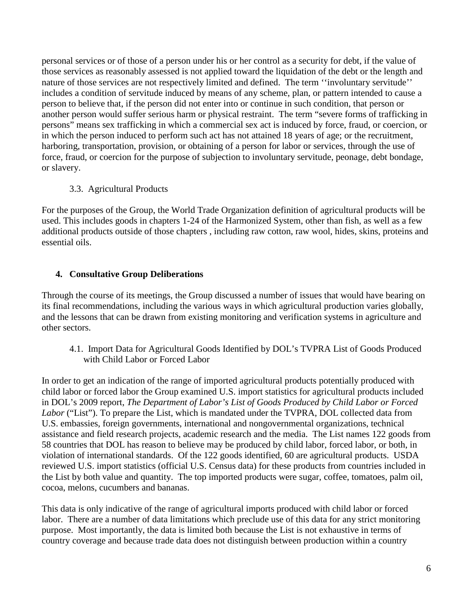personal services or of those of a person under his or her control as a security for debt, if the value of those services as reasonably assessed is not applied toward the liquidation of the debt or the length and nature of those services are not respectively limited and defined. The term ''involuntary servitude'' includes a condition of servitude induced by means of any scheme, plan, or pattern intended to cause a person to believe that, if the person did not enter into or continue in such condition, that person or another person would suffer serious harm or physical restraint. The term "severe forms of trafficking in persons" means sex trafficking in which a commercial sex act is induced by force, fraud, or coercion, or in which the person induced to perform such act has not attained 18 years of age; or the recruitment, harboring, transportation, provision, or obtaining of a person for labor or services, through the use of force, fraud, or coercion for the purpose of subjection to involuntary servitude, peonage, debt bondage, or slavery.

#### 3.3. Agricultural Products

For the purposes of the Group, the World Trade Organization definition of agricultural products will be used. This includes goods in chapters 1-24 of the Harmonized System, other than fish, as well as a few additional products outside of those chapters , including raw cotton, raw wool, hides, skins, proteins and essential oils.

#### **4. Consultative Group Deliberations**

Through the course of its meetings, the Group discussed a number of issues that would have bearing on its final recommendations, including the various ways in which agricultural production varies globally, and the lessons that can be drawn from existing monitoring and verification systems in agriculture and other sectors.

4.1. Import Data for Agricultural Goods Identified by DOL's TVPRA List of Goods Produced with Child Labor or Forced Labor

In order to get an indication of the range of imported agricultural products potentially produced with child labor or forced labor the Group examined U.S. import statistics for agricultural products included in DOL's 2009 report, *The Department of Labor's List of Goods Produced by Child Labor or Forced Labor* ("List"). To prepare the List, which is mandated under the TVPRA, DOL collected data from U.S. embassies, foreign governments, international and nongovernmental organizations, technical assistance and field research projects, academic research and the media. The List names 122 goods from 58 countries that DOL has reason to believe may be produced by child labor, forced labor, or both, in violation of international standards. Of the 122 goods identified, 60 are agricultural products. USDA reviewed U.S. import statistics (official U.S. Census data) for these products from countries included in the List by both value and quantity. The top imported products were sugar, coffee, tomatoes, palm oil, cocoa, melons, cucumbers and bananas.

This data is only indicative of the range of agricultural imports produced with child labor or forced labor. There are a number of data limitations which preclude use of this data for any strict monitoring purpose. Most importantly, the data is limited both because the List is not exhaustive in terms of country coverage and because trade data does not distinguish between production within a country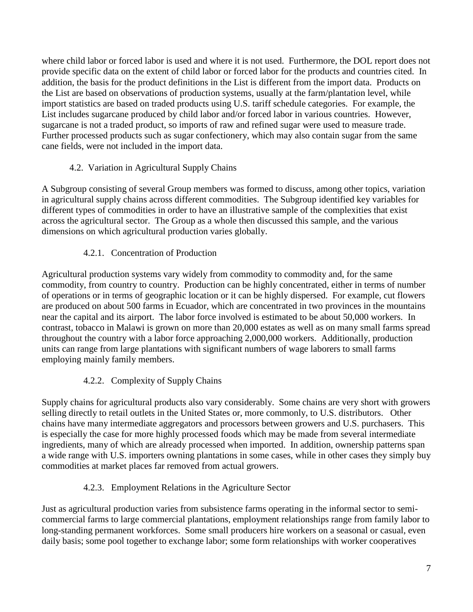where child labor or forced labor is used and where it is not used. Furthermore, the DOL report does not provide specific data on the extent of child labor or forced labor for the products and countries cited. In addition, the basis for the product definitions in the List is different from the import data. Products on the List are based on observations of production systems, usually at the farm/plantation level, while import statistics are based on traded products using U.S. tariff schedule categories. For example, the List includes sugarcane produced by child labor and/or forced labor in various countries. However, sugarcane is not a traded product, so imports of raw and refined sugar were used to measure trade. Further processed products such as sugar confectionery, which may also contain sugar from the same cane fields, were not included in the import data.

## 4.2. Variation in Agricultural Supply Chains

A Subgroup consisting of several Group members was formed to discuss, among other topics, variation in agricultural supply chains across different commodities. The Subgroup identified key variables for different types of commodities in order to have an illustrative sample of the complexities that exist across the agricultural sector. The Group as a whole then discussed this sample, and the various dimensions on which agricultural production varies globally.

## 4.2.1. Concentration of Production

Agricultural production systems vary widely from commodity to commodity and, for the same commodity, from country to country. Production can be highly concentrated, either in terms of number of operations or in terms of geographic location or it can be highly dispersed. For example, cut flowers are produced on about 500 farms in Ecuador, which are concentrated in two provinces in the mountains near the capital and its airport. The labor force involved is estimated to be about 50,000 workers. In contrast, tobacco in Malawi is grown on more than 20,000 estates as well as on many small farms spread throughout the country with a labor force approaching 2,000,000 workers. Additionally, production units can range from large plantations with significant numbers of wage laborers to small farms employing mainly family members.

## 4.2.2. Complexity of Supply Chains

Supply chains for agricultural products also vary considerably. Some chains are very short with growers selling directly to retail outlets in the United States or, more commonly, to U.S. distributors. Other chains have many intermediate aggregators and processors between growers and U.S. purchasers. This is especially the case for more highly processed foods which may be made from several intermediate ingredients, many of which are already processed when imported. In addition, ownership patterns span a wide range with U.S. importers owning plantations in some cases, while in other cases they simply buy commodities at market places far removed from actual growers.

#### 4.2.3. Employment Relations in the Agriculture Sector

Just as agricultural production varies from subsistence farms operating in the informal sector to semicommercial farms to large commercial plantations, employment relationships range from family labor to long-standing permanent workforces. Some small producers hire workers on a seasonal or casual, even daily basis; some pool together to exchange labor; some form relationships with worker cooperatives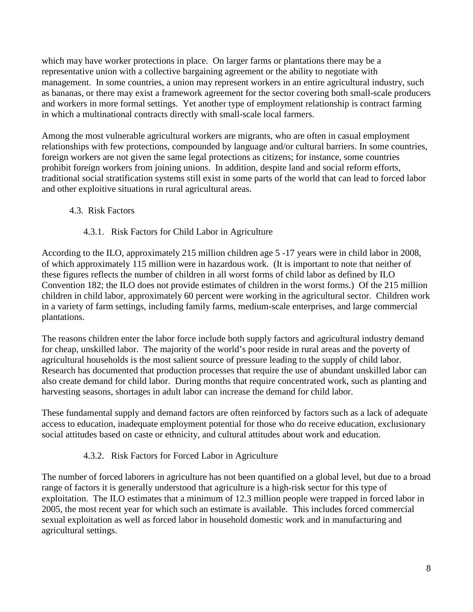which may have worker protections in place. On larger farms or plantations there may be a representative union with a collective bargaining agreement or the ability to negotiate with management. In some countries, a union may represent workers in an entire agricultural industry, such as bananas, or there may exist a framework agreement for the sector covering both small-scale producers and workers in more formal settings. Yet another type of employment relationship is contract farming in which a multinational contracts directly with small-scale local farmers.

Among the most vulnerable agricultural workers are migrants, who are often in casual employment relationships with few protections, compounded by language and/or cultural barriers. In some countries, foreign workers are not given the same legal protections as citizens; for instance, some countries prohibit foreign workers from joining unions. In addition, despite land and social reform efforts, traditional social stratification systems still exist in some parts of the world that can lead to forced labor and other exploitive situations in rural agricultural areas.

#### 4.3. Risk Factors

#### 4.3.1. Risk Factors for Child Labor in Agriculture

According to the ILO, approximately 215 million children age 5 -17 years were in child labor in 2008, of which approximately 115 million were in hazardous work. (It is important to note that neither of these figures reflects the number of children in all worst forms of child labor as defined by ILO Convention 182; the ILO does not provide estimates of children in the worst forms.) Of the 215 million children in child labor, approximately 60 percent were working in the agricultural sector. Children work in a variety of farm settings, including family farms, medium-scale enterprises, and large commercial plantations.

The reasons children enter the labor force include both supply factors and agricultural industry demand for cheap, unskilled labor. The majority of the world's poor reside in rural areas and the poverty of agricultural households is the most salient source of pressure leading to the supply of child labor. Research has documented that production processes that require the use of abundant unskilled labor can also create demand for child labor. During months that require concentrated work, such as planting and harvesting seasons, shortages in adult labor can increase the demand for child labor.

These fundamental supply and demand factors are often reinforced by factors such as a lack of adequate access to education, inadequate employment potential for those who do receive education, exclusionary social attitudes based on caste or ethnicity, and cultural attitudes about work and education.

#### 4.3.2. Risk Factors for Forced Labor in Agriculture

The number of forced laborers in agriculture has not been quantified on a global level, but due to a broad range of factors it is generally understood that agriculture is a high-risk sector for this type of exploitation. The ILO estimates that a minimum of 12.3 million people were trapped in forced labor in 2005, the most recent year for which such an estimate is available. This includes forced commercial sexual exploitation as well as forced labor in household domestic work and in manufacturing and agricultural settings.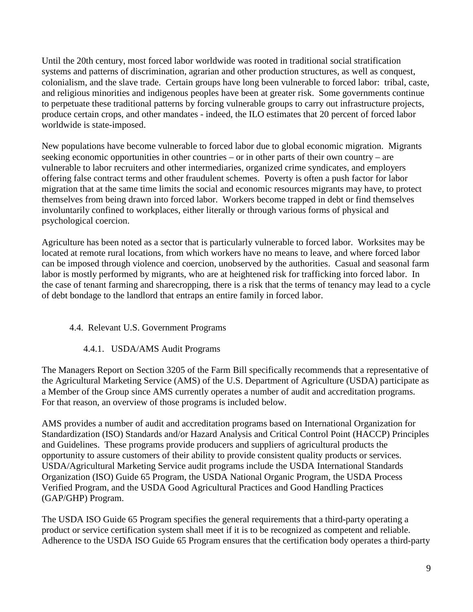Until the 20th century, most forced labor worldwide was rooted in traditional social stratification systems and patterns of discrimination, agrarian and other production structures, as well as conquest, colonialism, and the slave trade. Certain groups have long been vulnerable to forced labor: tribal, caste, and religious minorities and indigenous peoples have been at greater risk. Some governments continue to perpetuate these traditional patterns by forcing vulnerable groups to carry out infrastructure projects, produce certain crops, and other mandates - indeed, the ILO estimates that 20 percent of forced labor worldwide is state-imposed.

New populations have become vulnerable to forced labor due to global economic migration. Migrants seeking economic opportunities in other countries – or in other parts of their own country – are vulnerable to labor recruiters and other intermediaries, organized crime syndicates, and employers offering false contract terms and other fraudulent schemes. Poverty is often a push factor for labor migration that at the same time limits the social and economic resources migrants may have, to protect themselves from being drawn into forced labor. Workers become trapped in debt or find themselves involuntarily confined to workplaces, either literally or through various forms of physical and psychological coercion.

Agriculture has been noted as a sector that is particularly vulnerable to forced labor. Worksites may be located at remote rural locations, from which workers have no means to leave, and where forced labor can be imposed through violence and coercion, unobserved by the authorities. Casual and seasonal farm labor is mostly performed by migrants, who are at heightened risk for trafficking into forced labor. In the case of tenant farming and sharecropping, there is a risk that the terms of tenancy may lead to a cycle of debt bondage to the landlord that entraps an entire family in forced labor.

#### 4.4. Relevant U.S. Government Programs

#### 4.4.1. USDA/AMS Audit Programs

The Managers Report on Section 3205 of the Farm Bill specifically recommends that a representative of the Agricultural Marketing Service (AMS) of the U.S. Department of Agriculture (USDA) participate as a Member of the Group since AMS currently operates a number of audit and accreditation programs. For that reason, an overview of those programs is included below.

AMS provides a number of audit and accreditation programs based on International Organization for Standardization (ISO) Standards and/or Hazard Analysis and Critical Control Point (HACCP) Principles and Guidelines. These programs provide producers and suppliers of agricultural products the opportunity to assure customers of their ability to provide consistent quality products or services. USDA/Agricultural Marketing Service audit programs include the USDA International Standards Organization (ISO) Guide 65 Program, the USDA National Organic Program, the USDA Process Verified Program, and the USDA Good Agricultural Practices and Good Handling Practices (GAP/GHP) Program.

The USDA ISO Guide 65 Program specifies the general requirements that a third-party operating a product or service certification system shall meet if it is to be recognized as competent and reliable. Adherence to the USDA ISO Guide 65 Program ensures that the certification body operates a third-party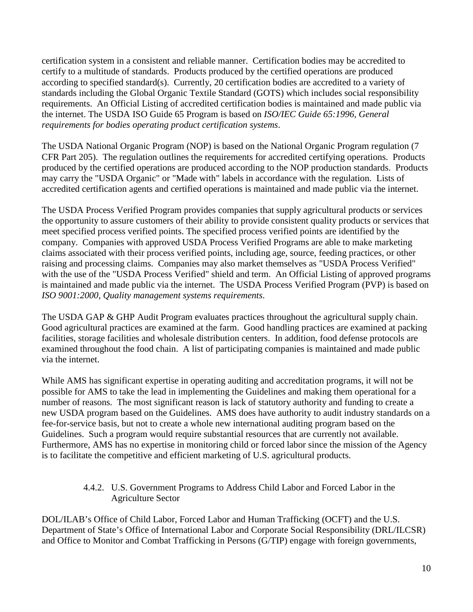certification system in a consistent and reliable manner. Certification bodies may be accredited to certify to a multitude of standards. Products produced by the certified operations are produced according to specified standard(s). Currently, 20 certification bodies are accredited to a variety of standards including the Global Organic Textile Standard (GOTS) which includes social responsibility requirements. An Official Listing of accredited certification bodies is maintained and made public via the internet. The USDA ISO Guide 65 Program is based on *ISO/IEC Guide 65:1996, General requirements for bodies operating product certification systems*.

The USDA National Organic Program (NOP) is based on the National Organic Program regulation (7 CFR Part 205). The regulation outlines the requirements for accredited certifying operations. Products produced by the certified operations are produced according to the NOP production standards. Products may carry the "USDA Organic" or "Made with" labels in accordance with the regulation. Lists of accredited certification agents and certified operations is maintained and made public via the internet.

The USDA Process Verified Program provides companies that supply agricultural products or services the opportunity to assure customers of their ability to provide consistent quality products or services that meet specified process verified points. The specified process verified points are identified by the company. Companies with approved USDA Process Verified Programs are able to make marketing claims associated with their process verified points, including age, source, feeding practices, or other raising and processing claims. Companies may also market themselves as "USDA Process Verified" with the use of the "USDA Process Verified" shield and term. An Official Listing of approved programs is maintained and made public via the internet. The USDA Process Verified Program (PVP) is based on *ISO 9001:2000, Quality management systems requirements*.

The USDA GAP & GHP Audit Program evaluates practices throughout the agricultural supply chain. Good agricultural practices are examined at the farm. Good handling practices are examined at packing facilities, storage facilities and wholesale distribution centers. In addition, food defense protocols are examined throughout the food chain. A list of participating companies is maintained and made public via the internet.

While AMS has significant expertise in operating auditing and accreditation programs, it will not be possible for AMS to take the lead in implementing the Guidelines and making them operational for a number of reasons. The most significant reason is lack of statutory authority and funding to create a new USDA program based on the Guidelines. AMS does have authority to audit industry standards on a fee-for-service basis, but not to create a whole new international auditing program based on the Guidelines. Such a program would require substantial resources that are currently not available. Furthermore, AMS has no expertise in monitoring child or forced labor since the mission of the Agency is to facilitate the competitive and efficient marketing of U.S. agricultural products.

#### 4.4.2. U.S. Government Programs to Address Child Labor and Forced Labor in the Agriculture Sector

DOL/ILAB's Office of Child Labor, Forced Labor and Human Trafficking (OCFT) and the U.S. Department of State's Office of International Labor and Corporate Social Responsibility (DRL/ILCSR) and Office to Monitor and Combat Trafficking in Persons (G/TIP) engage with foreign governments,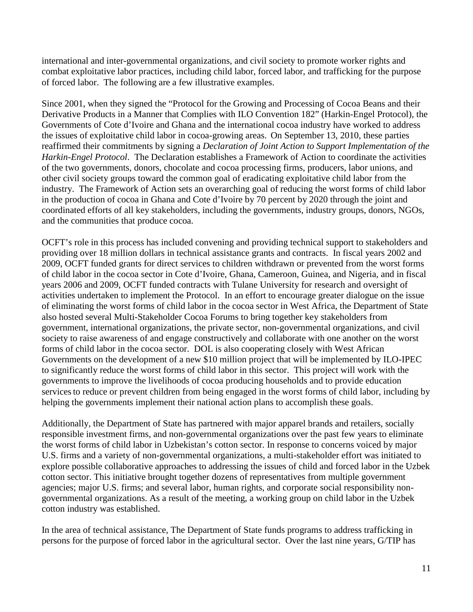international and inter-governmental organizations, and civil society to promote worker rights and combat exploitative labor practices, including child labor, forced labor, and trafficking for the purpose of forced labor. The following are a few illustrative examples.

Since 2001, when they signed the "Protocol for the Growing and Processing of Cocoa Beans and their Derivative Products in a Manner that Complies with ILO Convention 182" (Harkin-Engel Protocol), the Governments of Cote d'Ivoire and Ghana and the international cocoa industry have worked to address the issues of exploitative child labor in cocoa-growing areas. On September 13, 2010, these parties reaffirmed their commitments by signing a *Declaration of Joint Action to Support Implementation of the Harkin-Engel Protocol*. The Declaration establishes a Framework of Action to coordinate the activities of the two governments, donors, chocolate and cocoa processing firms, producers, labor unions, and other civil society groups toward the common goal of eradicating exploitative child labor from the industry. The Framework of Action sets an overarching goal of reducing the worst forms of child labor in the production of cocoa in Ghana and Cote d'Ivoire by 70 percent by 2020 through the joint and coordinated efforts of all key stakeholders, including the governments, industry groups, donors, NGOs, and the communities that produce cocoa.

OCFT's role in this process has included convening and providing technical support to stakeholders and providing over 18 million dollars in technical assistance grants and contracts. In fiscal years 2002 and 2009, OCFT funded grants for direct services to children withdrawn or prevented from the worst forms of child labor in the cocoa sector in Cote d'Ivoire, Ghana, Cameroon, Guinea, and Nigeria*,* and in fiscal years 2006 and 2009, OCFT funded contracts with Tulane University for research and oversight of activities undertaken to implement the Protocol. In an effort to encourage greater dialogue on the issue of eliminating the worst forms of child labor in the cocoa sector in West Africa, the Department of State also hosted several Multi-Stakeholder Cocoa Forums to bring together key stakeholders from government, international organizations, the private sector, non-governmental organizations, and civil society to raise awareness of and engage constructively and collaborate with one another on the worst forms of child labor in the cocoa sector. DOL is also cooperating closely with West African Governments on the development of a new \$10 million project that will be implemented by ILO-IPEC to significantly reduce the worst forms of child labor in this sector. This project will work with the governments to improve the livelihoods of cocoa producing households and to provide education services to reduce or prevent children from being engaged in the worst forms of child labor, including by helping the governments implement their national action plans to accomplish these goals.

Additionally, the Department of State has partnered with major apparel brands and retailers, socially responsible investment firms, and non-governmental organizations over the past few years to eliminate the worst forms of child labor in Uzbekistan's cotton sector. In response to concerns voiced by major U.S. firms and a variety of non-governmental organizations, a multi-stakeholder effort was initiated to explore possible collaborative approaches to addressing the issues of child and forced labor in the Uzbek cotton sector. This initiative brought together dozens of representatives from multiple government agencies; major U.S. firms; and several labor, human rights, and corporate social responsibility nongovernmental organizations. As a result of the meeting, a working group on child labor in the Uzbek cotton industry was established.

In the area of technical assistance, The Department of State funds programs to address trafficking in persons for the purpose of forced labor in the agricultural sector. Over the last nine years, G/TIP has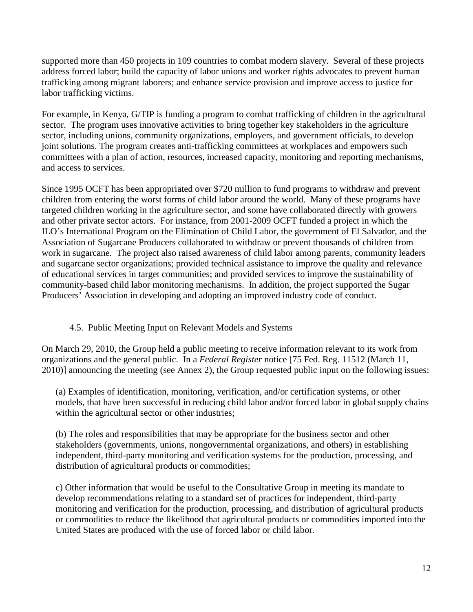supported more than 450 projects in 109 countries to combat modern slavery. Several of these projects address forced labor; build the capacity of labor unions and worker rights advocates to prevent human trafficking among migrant laborers; and enhance service provision and improve access to justice for labor trafficking victims.

For example, in Kenya, G/TIP is funding a program to combat trafficking of children in the agricultural sector. The program uses innovative activities to bring together key stakeholders in the agriculture sector, including unions, community organizations, employers, and government officials, to develop joint solutions. The program creates anti-trafficking committees at workplaces and empowers such committees with a plan of action, resources, increased capacity, monitoring and reporting mechanisms, and access to services.

Since 1995 OCFT has been appropriated over \$720 million to fund programs to withdraw and prevent children from entering the worst forms of child labor around the world. Many of these programs have targeted children working in the agriculture sector, and some have collaborated directly with growers and other private sector actors. For instance, from 2001-2009 OCFT funded a project in which the ILO's International Program on the Elimination of Child Labor, the government of El Salvador, and the Association of Sugarcane Producers collaborated to withdraw or prevent thousands of children from work in sugarcane. The project also raised awareness of child labor among parents, community leaders and sugarcane sector organizations; provided technical assistance to improve the quality and relevance of educational services in target communities; and provided services to improve the sustainability of community-based child labor monitoring mechanisms. In addition, the project supported the Sugar Producers' Association in developing and adopting an improved industry code of conduct.

#### 4.5. Public Meeting Input on Relevant Models and Systems

On March 29, 2010, the Group held a public meeting to receive information relevant to its work from organizations and the general public. In a *Federal Register* notice [75 Fed. Reg. 11512 (March 11, 2010)] announcing the meeting (see Annex 2), the Group requested public input on the following issues:

(a) Examples of identification, monitoring, verification, and/or certification systems, or other models, that have been successful in reducing child labor and/or forced labor in global supply chains within the agricultural sector or other industries;

(b) The roles and responsibilities that may be appropriate for the business sector and other stakeholders (governments, unions, nongovernmental organizations, and others) in establishing independent, third-party monitoring and verification systems for the production, processing, and distribution of agricultural products or commodities;

c) Other information that would be useful to the Consultative Group in meeting its mandate to develop recommendations relating to a standard set of practices for independent, third-party monitoring and verification for the production, processing, and distribution of agricultural products or commodities to reduce the likelihood that agricultural products or commodities imported into the United States are produced with the use of forced labor or child labor.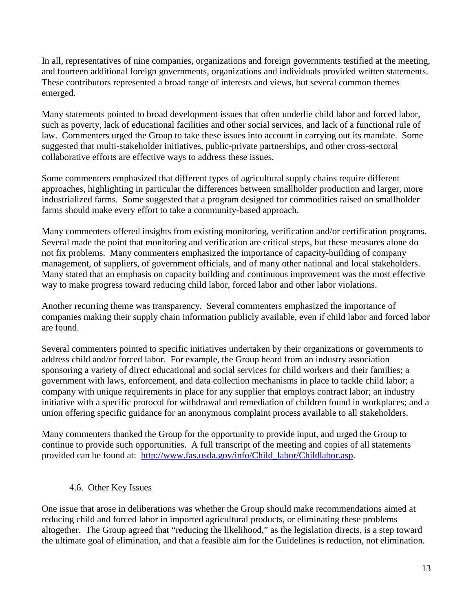In all, representatives of nine companies, organizations and foreign governments testified at the meeting, and fourteen additional foreign governments, organizations and individuals provided written statements. These contributors represented a broad range of interests and views, but several common themes emerged.

Many statements pointed to broad development issues that often underlie child labor and forced labor, such as poverty, lack of educational facilities and other social services, and lack of a functional rule of law. Commenters urged the Group to take these issues into account in carrying out its mandate. Some suggested that multi-stakeholder initiatives, public-private partnerships, and other cross-sectoral collaborative efforts are effective ways to address these issues.

Some commenters emphasized that different types of agricultural supply chains require different approaches, highlighting in particular the differences between smallholder production and larger, more industrialized farms. Some suggested that a program designed for commodities raised on smallholder farms should make every effort to take a community-based approach.

Many commenters offered insights from existing monitoring, verification and/or certification programs. Several made the point that monitoring and verification are critical steps, but these measures alone do not fix problems. Many commenters emphasized the importance of capacity-building of company management, of suppliers, of government officials, and of many other national and local stakeholders. Many stated that an emphasis on capacity building and continuous improvement was the most effective way to make progress toward reducing child labor, forced labor and other labor violations.

Another recurring theme was transparency. Several commenters emphasized the importance of companies making their supply chain information publicly available, even if child labor and forced labor are found.

Several commenters pointed to specific initiatives undertaken by their organizations or governments to address child and/or forced labor. For example, the Group heard from an industry association sponsoring a variety of direct educational and social services for child workers and their families; a government with laws, enforcement, and data collection mechanisms in place to tackle child labor; a company with unique requirements in place for any supplier that employs contract labor; an industry initiative with a specific protocol for withdrawal and remediation of children found in workplaces; and a union offering specific guidance for an anonymous complaint process available to all stakeholders.

Many commenters thanked the Group for the opportunity to provide input, and urged the Group to continue to provide such opportunities. A full transcript of the meeting and copies of all statements provided can be found at: [http://www.fas.usda.gov/info/Child\\_labor/Childlabor.asp.](http://www.fas.usda.gov/info/Child_labor/Childlabor.asp)

#### 4.6. Other Key Issues

One issue that arose in deliberations was whether the Group should make recommendations aimed at reducing child and forced labor in imported agricultural products, or eliminating these problems altogether. The Group agreed that "reducing the likelihood," as the legislation directs, is a step toward the ultimate goal of elimination, and that a feasible aim for the Guidelines is reduction, not elimination.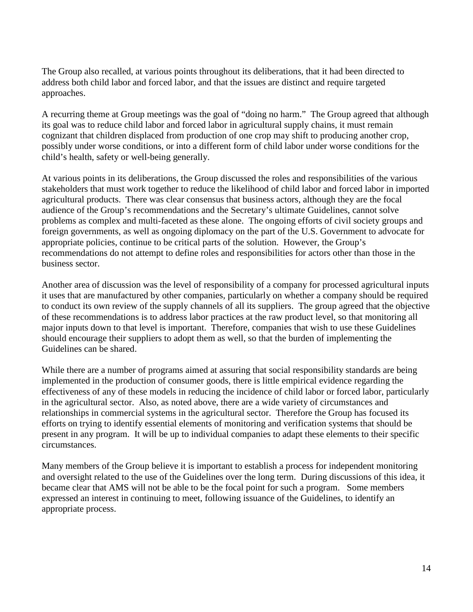The Group also recalled, at various points throughout its deliberations, that it had been directed to address both child labor and forced labor, and that the issues are distinct and require targeted approaches.

A recurring theme at Group meetings was the goal of "doing no harm." The Group agreed that although its goal was to reduce child labor and forced labor in agricultural supply chains, it must remain cognizant that children displaced from production of one crop may shift to producing another crop, possibly under worse conditions, or into a different form of child labor under worse conditions for the child's health, safety or well-being generally.

At various points in its deliberations, the Group discussed the roles and responsibilities of the various stakeholders that must work together to reduce the likelihood of child labor and forced labor in imported agricultural products. There was clear consensus that business actors, although they are the focal audience of the Group's recommendations and the Secretary's ultimate Guidelines, cannot solve problems as complex and multi-faceted as these alone. The ongoing efforts of civil society groups and foreign governments, as well as ongoing diplomacy on the part of the U.S. Government to advocate for appropriate policies, continue to be critical parts of the solution. However, the Group's recommendations do not attempt to define roles and responsibilities for actors other than those in the business sector.

Another area of discussion was the level of responsibility of a company for processed agricultural inputs it uses that are manufactured by other companies, particularly on whether a company should be required to conduct its own review of the supply channels of all its suppliers. The group agreed that the objective of these recommendations is to address labor practices at the raw product level, so that monitoring all major inputs down to that level is important. Therefore, companies that wish to use these Guidelines should encourage their suppliers to adopt them as well, so that the burden of implementing the Guidelines can be shared.

While there are a number of programs aimed at assuring that social responsibility standards are being implemented in the production of consumer goods, there is little empirical evidence regarding the effectiveness of any of these models in reducing the incidence of child labor or forced labor, particularly in the agricultural sector. Also, as noted above, there are a wide variety of circumstances and relationships in commercial systems in the agricultural sector. Therefore the Group has focused its efforts on trying to identify essential elements of monitoring and verification systems that should be present in any program. It will be up to individual companies to adapt these elements to their specific circumstances.

Many members of the Group believe it is important to establish a process for independent monitoring and oversight related to the use of the Guidelines over the long term. During discussions of this idea, it became clear that AMS will not be able to be the focal point for such a program. Some members expressed an interest in continuing to meet, following issuance of the Guidelines, to identify an appropriate process.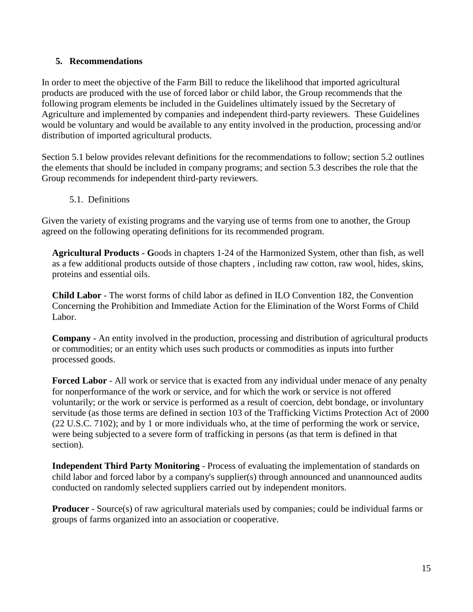#### **5. Recommendations**

In order to meet the objective of the Farm Bill to reduce the likelihood that imported agricultural products are produced with the use of forced labor or child labor, the Group recommends that the following program elements be included in the Guidelines ultimately issued by the Secretary of Agriculture and implemented by companies and independent third-party reviewers. These Guidelines would be voluntary and would be available to any entity involved in the production, processing and/or distribution of imported agricultural products.

Section 5.1 below provides relevant definitions for the recommendations to follow; section 5.2 outlines the elements that should be included in company programs; and section 5.3 describes the role that the Group recommends for independent third-party reviewers.

5.1. Definitions

Given the variety of existing programs and the varying use of terms from one to another, the Group agreed on the following operating definitions for its recommended program.

**Agricultural Products - G**oods in chapters 1-24 of the Harmonized System, other than fish, as well as a few additional products outside of those chapters , including raw cotton, raw wool, hides, skins, proteins and essential oils.

**Child Labor** - The worst forms of child labor as defined in ILO Convention 182, the Convention Concerning the Prohibition and Immediate Action for the Elimination of the Worst Forms of Child Labor.

**Company** - An entity involved in the production, processing and distribution of agricultural products or commodities; or an entity which uses such products or commodities as inputs into further processed goods.

**Forced Labor** - All work or service that is exacted from any individual under menace of any penalty for nonperformance of the work or service, and for which the work or service is not offered voluntarily; or the work or service is performed as a result of coercion, debt bondage, or involuntary servitude (as those terms are defined in section 103 of the Trafficking Victims Protection Act of 2000 (22 U.S.C. 7102); and by 1 or more individuals who, at the time of performing the work or service, were being subjected to a severe form of trafficking in persons (as that term is defined in that section).

**Independent Third Party Monitoring** - Process of evaluating the implementation of standards on child labor and forced labor by a company's supplier(s) through announced and unannounced audits conducted on randomly selected suppliers carried out by independent monitors.

**Producer** - Source(s) of raw agricultural materials used by companies; could be individual farms or groups of farms organized into an association or cooperative.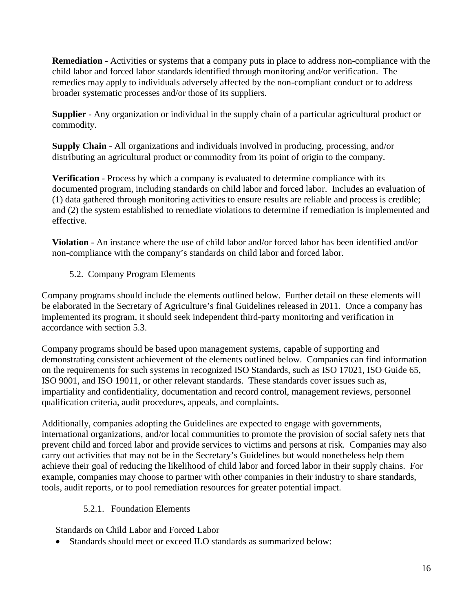**Remediation** - Activities or systems that a company puts in place to address non-compliance with the child labor and forced labor standards identified through monitoring and/or verification. The remedies may apply to individuals adversely affected by the non-compliant conduct or to address broader systematic processes and/or those of its suppliers.

**Supplier** - Any organization or individual in the supply chain of a particular agricultural product or commodity.

**Supply Chain** - All organizations and individuals involved in producing, processing, and/or distributing an agricultural product or commodity from its point of origin to the company.

**Verification** - Process by which a company is evaluated to determine compliance with its documented program, including standards on child labor and forced labor. Includes an evaluation of (1) data gathered through monitoring activities to ensure results are reliable and process is credible; and (2) the system established to remediate violations to determine if remediation is implemented and effective.

**Violation** - An instance where the use of child labor and/or forced labor has been identified and/or non-compliance with the company's standards on child labor and forced labor.

5.2. Company Program Elements

Company programs should include the elements outlined below. Further detail on these elements will be elaborated in the Secretary of Agriculture's final Guidelines released in 2011. Once a company has implemented its program, it should seek independent third-party monitoring and verification in accordance with section 5.3.

Company programs should be based upon management systems, capable of supporting and demonstrating consistent achievement of the elements outlined below. Companies can find information on the requirements for such systems in recognized ISO Standards, such as ISO 17021, ISO Guide 65, ISO 9001, and ISO 19011, or other relevant standards. These standards cover issues such as, impartiality and confidentiality, documentation and record control, management reviews, personnel qualification criteria, audit procedures, appeals, and complaints.

Additionally, companies adopting the Guidelines are expected to engage with governments, international organizations, and/or local communities to promote the provision of social safety nets that prevent child and forced labor and provide services to victims and persons at risk. Companies may also carry out activities that may not be in the Secretary's Guidelines but would nonetheless help them achieve their goal of reducing the likelihood of child labor and forced labor in their supply chains. For example, companies may choose to partner with other companies in their industry to share standards, tools, audit reports, or to pool remediation resources for greater potential impact.

#### 5.2.1. Foundation Elements

Standards on Child Labor and Forced Labor

• Standards should meet or exceed ILO standards as summarized below: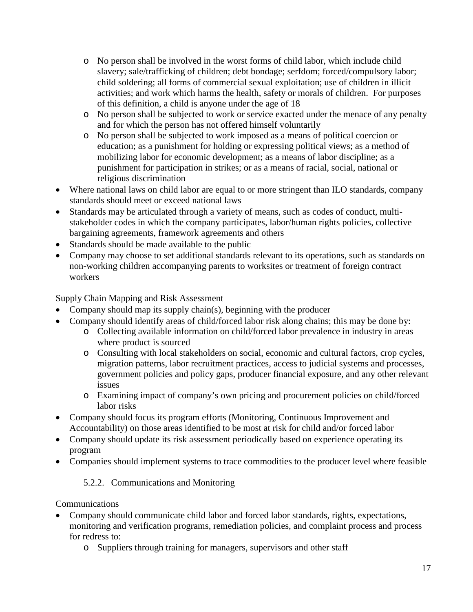- o No person shall be involved in the worst forms of child labor, which include child slavery; sale/trafficking of children; debt bondage; serfdom; forced/compulsory labor; child soldering; all forms of commercial sexual exploitation; use of children in illicit activities; and work which harms the health, safety or morals of children. For purposes of this definition, a child is anyone under the age of 18
- o No person shall be subjected to work or service exacted under the menace of any penalty and for which the person has not offered himself voluntarily
- o No person shall be subjected to work imposed as a means of political coercion or education; as a punishment for holding or expressing political views; as a method of mobilizing labor for economic development; as a means of labor discipline; as a punishment for participation in strikes; or as a means of racial, social, national or religious discrimination
- Where national laws on child labor are equal to or more stringent than ILO standards, company standards should meet or exceed national laws
- Standards may be articulated through a variety of means, such as codes of conduct, multistakeholder codes in which the company participates, labor/human rights policies, collective bargaining agreements, framework agreements and others
- Standards should be made available to the public
- Company may choose to set additional standards relevant to its operations, such as standards on non-working children accompanying parents to worksites or treatment of foreign contract workers

Supply Chain Mapping and Risk Assessment

- Company should map its supply chain(s), beginning with the producer
- Company should identify areas of child/forced labor risk along chains; this may be done by:
	- o Collecting available information on child/forced labor prevalence in industry in areas where product is sourced
	- o Consulting with local stakeholders on social, economic and cultural factors, crop cycles, migration patterns, labor recruitment practices, access to judicial systems and processes, government policies and policy gaps, producer financial exposure, and any other relevant issues
	- o Examining impact of company's own pricing and procurement policies on child/forced labor risks
- Company should focus its program efforts (Monitoring, Continuous Improvement and Accountability) on those areas identified to be most at risk for child and/or forced labor
- Company should update its risk assessment periodically based on experience operating its program
- Companies should implement systems to trace commodities to the producer level where feasible

5.2.2. Communications and Monitoring

Communications

- Company should communicate child labor and forced labor standards, rights, expectations, monitoring and verification programs, remediation policies, and complaint process and process for redress to:
	- o Suppliers through training for managers, supervisors and other staff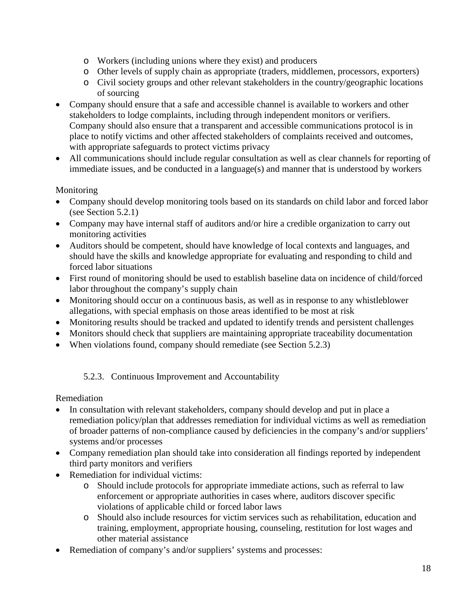- o Workers (including unions where they exist) and producers
- o Other levels of supply chain as appropriate (traders, middlemen, processors, exporters)
- o Civil society groups and other relevant stakeholders in the country/geographic locations of sourcing
- Company should ensure that a safe and accessible channel is available to workers and other stakeholders to lodge complaints, including through independent monitors or verifiers. Company should also ensure that a transparent and accessible communications protocol is in place to notify victims and other affected stakeholders of complaints received and outcomes, with appropriate safeguards to protect victims privacy
- All communications should include regular consultation as well as clear channels for reporting of immediate issues, and be conducted in a language(s) and manner that is understood by workers

#### Monitoring

- Company should develop monitoring tools based on its standards on child labor and forced labor (see Section 5.2.1)
- Company may have internal staff of auditors and/or hire a credible organization to carry out monitoring activities
- Auditors should be competent, should have knowledge of local contexts and languages, and should have the skills and knowledge appropriate for evaluating and responding to child and forced labor situations
- First round of monitoring should be used to establish baseline data on incidence of child/forced labor throughout the company's supply chain
- Monitoring should occur on a continuous basis, as well as in response to any whistleblower allegations, with special emphasis on those areas identified to be most at risk
- Monitoring results should be tracked and updated to identify trends and persistent challenges
- Monitors should check that suppliers are maintaining appropriate traceability documentation
- When violations found, company should remediate (see Section 5.2.3)

#### 5.2.3. Continuous Improvement and Accountability

Remediation

- In consultation with relevant stakeholders, company should develop and put in place a remediation policy/plan that addresses remediation for individual victims as well as remediation of broader patterns of non-compliance caused by deficiencies in the company's and/or suppliers' systems and/or processes
- Company remediation plan should take into consideration all findings reported by independent third party monitors and verifiers
- Remediation for individual victims:
	- o Should include protocols for appropriate immediate actions, such as referral to law enforcement or appropriate authorities in cases where, auditors discover specific violations of applicable child or forced labor laws
	- o Should also include resources for victim services such as rehabilitation, education and training, employment, appropriate housing, counseling, restitution for lost wages and other material assistance
- Remediation of company's and/or suppliers' systems and processes: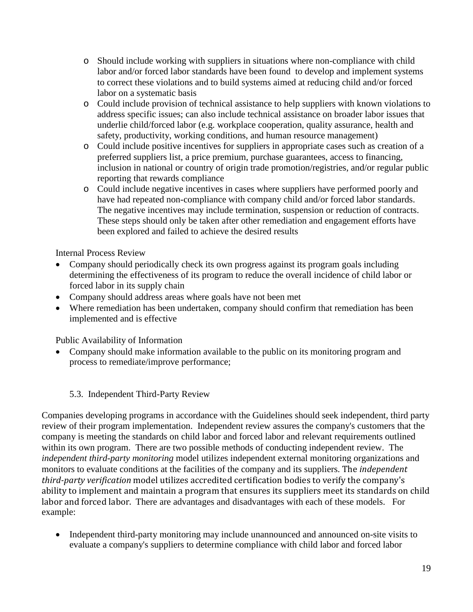- o Should include working with suppliers in situations where non-compliance with child labor and/or forced labor standards have been found to develop and implement systems to correct these violations and to build systems aimed at reducing child and/or forced labor on a systematic basis
- o Could include provision of technical assistance to help suppliers with known violations to address specific issues; can also include technical assistance on broader labor issues that underlie child/forced labor (e.g. workplace cooperation, quality assurance, health and safety, productivity, working conditions, and human resource management)
- o Could include positive incentives for suppliers in appropriate cases such as creation of a preferred suppliers list, a price premium, purchase guarantees, access to financing, inclusion in national or country of origin trade promotion/registries, and/or regular public reporting that rewards compliance
- o Could include negative incentives in cases where suppliers have performed poorly and have had repeated non-compliance with company child and/or forced labor standards. The negative incentives may include termination, suspension or reduction of contracts. These steps should only be taken after other remediation and engagement efforts have been explored and failed to achieve the desired results

Internal Process Review

- Company should periodically check its own progress against its program goals including determining the effectiveness of its program to reduce the overall incidence of child labor or forced labor in its supply chain
- Company should address areas where goals have not been met
- Where remediation has been undertaken, company should confirm that remediation has been implemented and is effective

Public Availability of Information

- Company should make information available to the public on its monitoring program and process to remediate/improve performance;
	- 5.3. Independent Third-Party Review

Companies developing programs in accordance with the Guidelines should seek independent, third party review of their program implementation. Independent review assures the company's customers that the company is meeting the standards on child labor and forced labor and relevant requirements outlined within its own program. There are two possible methods of conducting independent review. The *independent third-party monitoring* model utilizes independent external monitoring organizations and monitors to evaluate conditions at the facilities of the company and its suppliers. The *independent third-party verification* model utilizes accredited certification bodies to verify the company's ability to implement and maintain a program that ensures its suppliers meet its standards on child labor and forced labor. There are advantages and disadvantages with each of these models. For example:

• Independent third-party monitoring may include unannounced and announced on-site visits to evaluate a company's suppliers to determine compliance with child labor and forced labor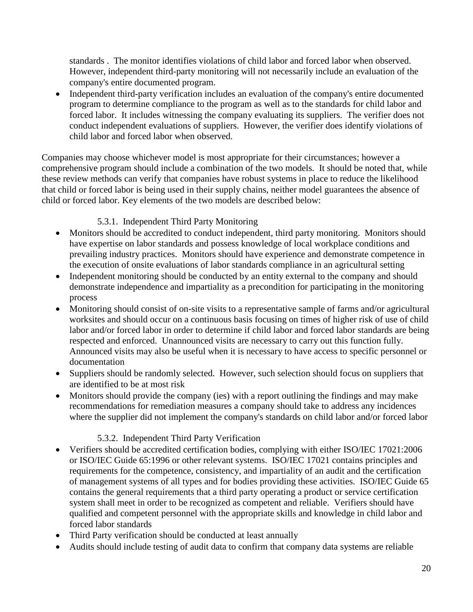standards . The monitor identifies violations of child labor and forced labor when observed. However, independent third-party monitoring will not necessarily include an evaluation of the company's entire documented program.

• Independent third-party verification includes an evaluation of the company's entire documented program to determine compliance to the program as well as to the standards for child labor and forced labor. It includes witnessing the company evaluating its suppliers. The verifier does not conduct independent evaluations of suppliers. However, the verifier does identify violations of child labor and forced labor when observed.

Companies may choose whichever model is most appropriate for their circumstances; however a comprehensive program should include a combination of the two models. It should be noted that, while these review methods can verify that companies have robust systems in place to reduce the likelihood that child or forced labor is being used in their supply chains, neither model guarantees the absence of child or forced labor. Key elements of the two models are described below:

## 5.3.1. Independent Third Party Monitoring

- Monitors should be accredited to conduct independent, third party monitoring. Monitors should have expertise on labor standards and possess knowledge of local workplace conditions and prevailing industry practices. Monitors should have experience and demonstrate competence in the execution of onsite evaluations of labor standards compliance in an agricultural setting
- Independent monitoring should be conducted by an entity external to the company and should demonstrate independence and impartiality as a precondition for participating in the monitoring process
- Monitoring should consist of on-site visits to a representative sample of farms and/or agricultural worksites and should occur on a continuous basis focusing on times of higher risk of use of child labor and/or forced labor in order to determine if child labor and forced labor standards are being respected and enforced. Unannounced visits are necessary to carry out this function fully. Announced visits may also be useful when it is necessary to have access to specific personnel or documentation
- Suppliers should be randomly selected. However, such selection should focus on suppliers that are identified to be at most risk
- Monitors should provide the company (ies) with a report outlining the findings and may make recommendations for remediation measures a company should take to address any incidences where the supplier did not implement the company's standards on child labor and/or forced labor

## 5.3.2. Independent Third Party Verification

- Verifiers should be accredited certification bodies, complying with either ISO/IEC 17021:2006 or ISO/IEC Guide 65:1996 or other relevant systems. ISO/IEC 17021 contains principles and requirements for the competence, consistency, and impartiality of an audit and the certification of management systems of all types and for bodies providing these activities. ISO/IEC Guide 65 contains the general requirements that a third party operating a product or service certification system shall meet in order to be recognized as competent and reliable. Verifiers should have qualified and competent personnel with the appropriate skills and knowledge in child labor and forced labor standards
- Third Party verification should be conducted at least annually
- Audits should include testing of audit data to confirm that company data systems are reliable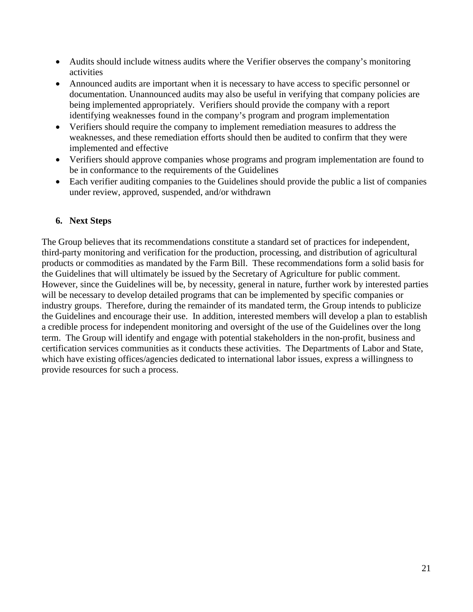- Audits should include witness audits where the Verifier observes the company's monitoring activities
- Announced audits are important when it is necessary to have access to specific personnel or documentation. Unannounced audits may also be useful in verifying that company policies are being implemented appropriately. Verifiers should provide the company with a report identifying weaknesses found in the company's program and program implementation
- Verifiers should require the company to implement remediation measures to address the weaknesses, and these remediation efforts should then be audited to confirm that they were implemented and effective
- Verifiers should approve companies whose programs and program implementation are found to be in conformance to the requirements of the Guidelines
- Each verifier auditing companies to the Guidelines should provide the public a list of companies under review, approved, suspended, and/or withdrawn

#### **6. Next Steps**

The Group believes that its recommendations constitute a standard set of practices for independent, third-party monitoring and verification for the production, processing, and distribution of agricultural products or commodities as mandated by the Farm Bill. These recommendations form a solid basis for the Guidelines that will ultimately be issued by the Secretary of Agriculture for public comment. However, since the Guidelines will be, by necessity, general in nature, further work by interested parties will be necessary to develop detailed programs that can be implemented by specific companies or industry groups. Therefore, during the remainder of its mandated term, the Group intends to publicize the Guidelines and encourage their use. In addition, interested members will develop a plan to establish a credible process for independent monitoring and oversight of the use of the Guidelines over the long term. The Group will identify and engage with potential stakeholders in the non-profit, business and certification services communities as it conducts these activities. The Departments of Labor and State, which have existing offices/agencies dedicated to international labor issues, express a willingness to provide resources for such a process.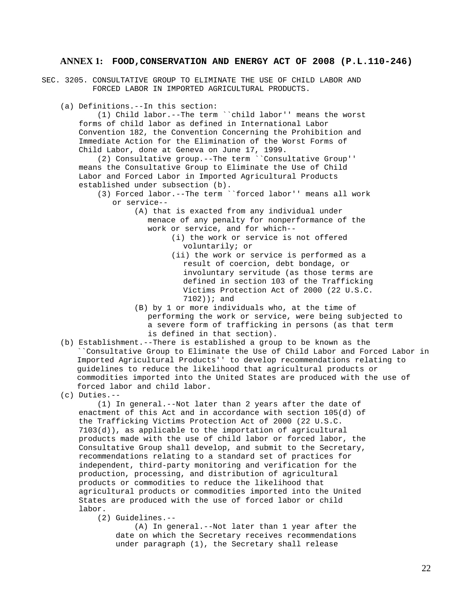#### **ANNEX 1: FOOD,CONSERVATION AND ENERGY ACT OF 2008 (P.L.110-246)**

- SEC. 3205. CONSULTATIVE GROUP TO ELIMINATE THE USE OF CHILD LABOR AND FORCED LABOR IN IMPORTED AGRICULTURAL PRODUCTS.
	- (a) Definitions.--In this section:

 (1) Child labor.--The term ``child labor'' means the worst forms of child labor as defined in International Labor Convention 182, the Convention Concerning the Prohibition and Immediate Action for the Elimination of the Worst Forms of Child Labor, done at Geneva on June 17, 1999.

 (2) Consultative group.--The term ``Consultative Group'' means the Consultative Group to Eliminate the Use of Child Labor and Forced Labor in Imported Agricultural Products established under subsection (b).

- (3) Forced labor.--The term ``forced labor'' means all work or service--
	- (A) that is exacted from any individual under menace of any penalty for nonperformance of the work or service, and for which--
		- (i) the work or service is not offered voluntarily; or
		- (ii) the work or service is performed as a result of coercion, debt bondage, or involuntary servitude (as those terms are defined in section 103 of the Trafficking Victims Protection Act of 2000 (22 U.S.C. 7102)); and
	- (B) by 1 or more individuals who, at the time of performing the work or service, were being subjected to a severe form of trafficking in persons (as that term is defined in that section).
- (b) Establishment.--There is established a group to be known as the ``Consultative Group to Eliminate the Use of Child Labor and Forced Labor in Imported Agricultural Products'' to develop recommendations relating to guidelines to reduce the likelihood that agricultural products or commodities imported into the United States are produced with the use of forced labor and child labor.
- (c) Duties.--

 (1) In general.--Not later than 2 years after the date of enactment of this Act and in accordance with section 105(d) of the Trafficking Victims Protection Act of 2000 (22 U.S.C. 7103(d)), as applicable to the importation of agricultural products made with the use of child labor or forced labor, the Consultative Group shall develop, and submit to the Secretary, recommendations relating to a standard set of practices for independent, third-party monitoring and verification for the production, processing, and distribution of agricultural products or commodities to reduce the likelihood that agricultural products or commodities imported into the United States are produced with the use of forced labor or child labor.

(2) Guidelines.--

 (A) In general.--Not later than 1 year after the date on which the Secretary receives recommendations under paragraph (1), the Secretary shall release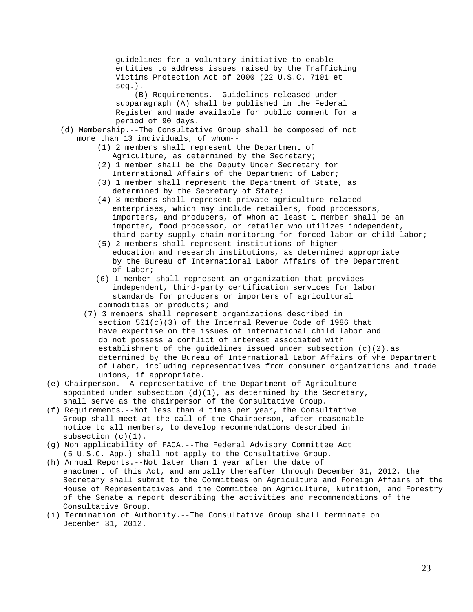guidelines for a voluntary initiative to enable entities to address issues raised by the Trafficking Victims Protection Act of 2000 (22 U.S.C. 7101 et seq.).

 (B) Requirements.--Guidelines released under subparagraph (A) shall be published in the Federal Register and made available for public comment for a period of 90 days.

- (d) Membership.--The Consultative Group shall be composed of not more than 13 individuals, of whom--
	- (1) 2 members shall represent the Department of Agriculture, as determined by the Secretary;
	- (2) 1 member shall be the Deputy Under Secretary for International Affairs of the Department of Labor;
	- (3) 1 member shall represent the Department of State, as determined by the Secretary of State;
	- (4) 3 members shall represent private agriculture-related enterprises, which may include retailers, food processors, importers, and producers, of whom at least 1 member shall be an importer, food processor, or retailer who utilizes independent, third-party supply chain monitoring for forced labor or child labor;
	- (5) 2 members shall represent institutions of higher education and research institutions, as determined appropriate by the Bureau of International Labor Affairs of the Department of Labor;
	- (6) 1 member shall represent an organization that provides independent, third-party certification services for labor standards for producers or importers of agricultural commodities or products; and
	- (7) 3 members shall represent organizations described in section  $501(c)(3)$  of the Internal Revenue Code of 1986 that have expertise on the issues of international child labor and do not possess a conflict of interest associated with establishment of the quidelines issued under subsection  $(c)(2)$ , as determined by the Bureau of International Labor Affairs of yhe Department of Labor, including representatives from consumer organizations and trade unions, if appropriate.
- (e) Chairperson.--A representative of the Department of Agriculture appointed under subsection  $(d)(1)$ , as determined by the Secretary, shall serve as the chairperson of the Consultative Group.
- (f) Requirements.--Not less than 4 times per year, the Consultative Group shall meet at the call of the Chairperson, after reasonable notice to all members, to develop recommendations described in subsection (c)(1).
- (g) Non applicability of FACA.--The Federal Advisory Committee Act (5 U.S.C. App.) shall not apply to the Consultative Group.
- (h) Annual Reports.--Not later than 1 year after the date of enactment of this Act, and annually thereafter through December 31, 2012, the Secretary shall submit to the Committees on Agriculture and Foreign Affairs of the House of Representatives and the Committee on Agriculture, Nutrition, and Forestry of the Senate a report describing the activities and recommendations of the Consultative Group.
- (i) Termination of Authority.--The Consultative Group shall terminate on December 31, 2012.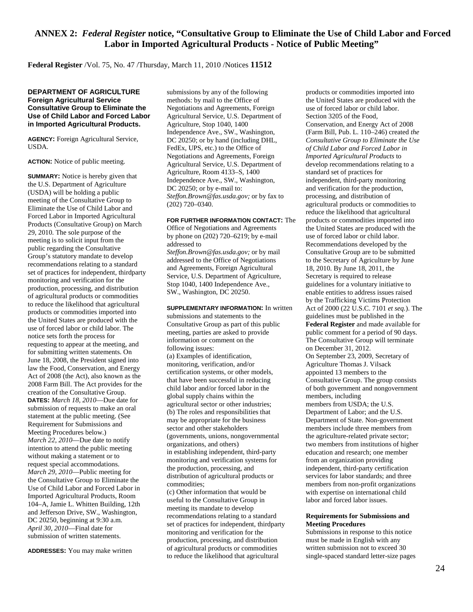#### **ANNEX 2:** *Federal Register* **notice, ["Consultative Group to Eliminate the Use of Child Labor and Forced](http://www.fas.usda.gov/info/fr/2010/031110ChildLabormeeting.asp)  [Labor in Imported Agricultural Products -](http://www.fas.usda.gov/info/fr/2010/031110ChildLabormeeting.asp) Notice of Public Meeting"**

**Federal Register** /Vol. 75, No. 47 /Thursday, March 11, 2010 /Notices **11512**

#### **DEPARTMENT OF AGRICULTURE Foreign Agricultural Service Consultative Group to Eliminate the Use of Child Labor and Forced Labor in Imported Agricultural Products.**

**AGENCY:** Foreign Agricultural Service, USDA.

**ACTION:** Notice of public meeting.

**SUMMARY:** Notice is hereby given that the U.S. Department of Agriculture (USDA) will be holding a public meeting of the Consultative Group to Eliminate the Use of Child Labor and Forced Labor in Imported Agricultural Products (Consultative Group) on March 29, 2010. The sole purpose of the meeting is to solicit input from the public regarding the Consultative Group's statutory mandate to develop recommendations relating to a standard set of practices for independent, thirdparty monitoring and verification for the production, processing, and distribution of agricultural products or commodities to reduce the likelihood that agricultural products or commodities imported into the United States are produced with the use of forced labor or child labor. The notice sets forth the process for requesting to appear at the meeting, and for submitting written statements. On June 18, 2008, the President signed into law the Food, Conservation, and Energy Act of 2008 (the Act), also known as the 2008 Farm Bill. The Act provides for the creation of the Consultative Group. **DATES:** *March 18, 2010*—Due date for submission of requests to make an oral statement at the public meeting. (See Requirement for Submissions and Meeting Procedures below.) *March 22, 2010*—Due date to notify intention to attend the public meeting without making a statement or to request special accommodations. *March 29, 2010*—Public meeting for the Consultative Group to Eliminate the Use of Child Labor and Forced Labor in Imported Agricultural Products, Room 104–A, Jamie L. Whitten Building, 12th and Jefferson Drive, SW., Washington, DC 20250, beginning at 9:30 a.m. *April 30, 2010*—Final date for submission of written statements.

**ADDRESSES:** You may make written

submissions by any of the following methods: by mail to the Office of Negotiations and Agreements, Foreign Agricultural Service, U.S. Department of Agriculture, Stop 1040, 1400 Independence Ave., SW., Washington, DC 20250; or by hand (including DHL, FedEx, UPS, etc.) to the Office of Negotiations and Agreements, Foreign Agricultural Service, U.S. Department of Agriculture, Room 4133–S, 1400 Independence Ave., SW., Washington, DC 20250; or by e-mail to: *Steffon.Brown@fas.usda.gov;* or by fax to (202) 720–0340.

#### **FOR FURTHER INFORMATION CONTACT:** The

Office of Negotiations and Agreements by phone on (202) 720–6219; by e-mail addressed to *Steffon.Brown@fas.usda.gov;* or by mail

addressed to the Office of Negotiations and Agreements, Foreign Agricultural Service, U.S. Department of Agriculture, Stop 1040, 1400 Independence Ave., SW., Washington, DC 20250.

**SUPPLEMENTARY INFORMATION:** In written submissions and statements to the Consultative Group as part of this public meeting, parties are asked to provide information or comment on the following issues: (a) Examples of identification, monitoring, verification, and/or certification systems, or other models, that have been successful in reducing child labor and/or forced labor in the global supply chains within the agricultural sector or other industries; (b) The roles and responsibilities that may be appropriate for the business sector and other stakeholders (governments, unions, nongovernmental organizations, and others) in establishing independent, third-party monitoring and verification systems for the production, processing, and distribution of agricultural products or commodities; (c) Other information that would be useful to the Consultative Group in meeting its mandate to develop recommendations relating to a standard set of practices for independent, thirdparty

monitoring and verification for the production, processing, and distribution of agricultural products or commodities to reduce the likelihood that agricultural

products or commodities imported into the United States are produced with the use of forced labor or child labor. Section 3205 of the Food, Conservation, and Energy Act of 2008 (Farm Bill, Pub. L. 110–246) created *the Consultative Group to Eliminate the Use of Child Labor and Forced Labor in Imported Agricultural Products* to develop recommendations relating to a standard set of practices for independent, third-party monitoring and verification for the production, processing, and distribution of agricultural products or commodities to reduce the likelihood that agricultural products or commodities imported into the United States are produced with the use of forced labor or child labor. Recommendations developed by the Consultative Group are to be submitted to the Secretary of Agriculture by June 18, 2010. By June 18, 2011, the Secretary is required to release guidelines for a voluntary initiative to enable entities to address issues raised by the Trafficking Victims Protection Act of 2000 (22 U.S.C. 7101 *et seq.*). The guidelines must be published in the **Federal Register** and made available for public comment for a period of 90 days. The Consultative Group will terminate on December 31, 2012. On September 23, 2009, Secretary of Agriculture Thomas J. Vilsack appointed 13 members to the Consultative Group. The group consists of both government and nongovernment members, including members from USDA; the U.S. Department of Labor; and the U.S. Department of State. Non-government members include three members from the agriculture-related private sector; two members from institutions of higher education and research; one member from an organization providing independent, third-party certification services for labor standards; and three members from non-profit organizations with expertise on international child labor and forced labor issues.

#### **Requirements for Submissions and Meeting Procedures**

Submissions in response to this notice must be made in English with any written submission not to exceed 30 single-spaced standard letter-size pages